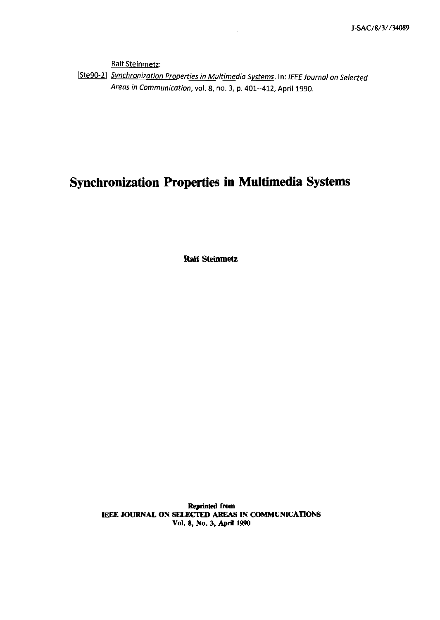**Ralf** Steinmetz:

[Ste90-2] Synchronization Properties in Multimedia Systems. In: IEEE Journal on Selected **Areas in Communication, vol. 8, no. 3, p. 401--412, April 1990.** 

## **Synchronization Properties in Multimedia Systems**

**Ralf Steinmetz** 

**Reprinted from** [EEE **JOURNAL ON** *SELlKiED* **,AREAS IN COMMUNICATIONS Vol. 8, No. 3, Aprii 1990**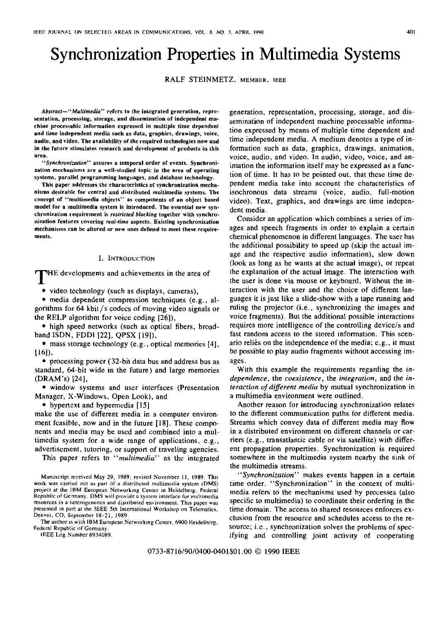# Synchronization Properties in Multimedia Systems

RALF STEINMETZ, MEMBER, IEEE

Abstract-"Multimedia" refers to the integrated generation, representation, processing, storage, and dissemination of independent machine processable information expressed in multiple time dependent and time independent media such as data, graphics, drawings, voice, audio, and video. The availability of the required technologies now and in the future stimulates research and development of products in this area.

"Synchronization" assures a temporal order of events. Synchronization mechanisms are a well-studied topic in the area of operating systems, parallel programming languages, and database technology.

This paper addresses the characteristics of synchronization mechanisms desirable for central and distributed multimedia systems. The concept of "multimedia objects" as components of an object based model for a multimedia system is introduced. The essential new synchronization requirement is restricted blocking together with synchronization features covering real-time aspects. Existing synchronization mechanisms can be altered or new ones defined to meet these requirements.

#### I. INTRODUCTION

HE developments and achievements in the area of

• video technology (such as displays, cameras),

• media dependent compression techniques (e.g., algorithms for 64 kbit/s codecs of moving video signals or the RELP algorithm for voice coding [26]),

• high speed networks (such as optical fibers, broadband ISDN, FDDI [22], QPSX [19]),

· mass storage technology (e.g., optical memories [4],  $[16]$ ,

• processing power (32-bit data bus and address bus as standard, 64-bit wide in the future) and large memories (DRAM's) [24],

· window systems and user interfaces (Presentation Manager, X-Windows, Open Look), and

• hypertext and hypermedia [15]

make the use of different media in a computer environment feasible, now and in the future [18]. These components and media may be used and combined into a multimedia system for a wide range of applications, e.g., advertisement, tutoring, or support of traveling agencies.

This paper refers to "multimedia" as the integrated

The author is with IBM European Networking Center, 6900 Heidelberg, Federal Republic of Germany

IEEE Log Number 8934089.

generation, representation, processing, storage, and dissemination of independent machine processable information expressed by means of multiple time dependent and time independent media. A medium denotes a type of information such as data, graphics, drawings, animation, voice, audio, and video. In audio, video, voice, and animation the information itself may be expressed as a function of time. It has to be pointed out, that these time dependent media take into account the characteristics of isochronous data streams (voice, audio, full-motion video). Text, graphics, and drawings are time independent media.

Consider an application which combines a series of images and speech fragments in order to explain a certain chemical phenomenon in different languages. The user has the additional possibility to speed up (skip the actual image and the respective audio information), slow down (look as long as he wants at the actual image), or repeat the explanation of the actual image. The interaction with the user is done via mouse or keyboard. Without the interaction with the user and the choice of different languages it is just like a slide-show with a tape running and ruling the projector (i.e., synchronizing the images and voice fragments). But the additional possible interactions requires more intelligence of the controlling device/s and fast random access to the stored information. This scenario relies on the independence of the media; e.g., it must be possible to play audio fragments without accessing images.

With this example the requirements regarding the independence, the coexistence, the integration, and the interaction of different media by mutual synchronization in a multimedia environment were outlined.

Another reason for introducing synchronization relates to the different communication paths for different media. Streams which convey data of different media may flow in a distributed environment on different channels or carriers (e.g., transatlantic cable or via satellite) with different propagation properties. Synchronization is required somewhere in the multimedia system nearby the sink of the multimedia streams.

'Synchronization'' makes events happen in a certain time order. "Synchronization" in the context of multimedia refers to the mechanisms used by processes (also specific to multimedia) to coordinate their ordering in the time domain. The access to shared resources enforces exclusion from the resource and schedules access to the resource; i.e., synchronization solves the problems of specifying and controlling joint activity of cooperating

Manuscript received May 29, 1989; revised November 11, 1989. This work was carried out as part of a distributed multimedia system (DMS) project at the IBM European Networking Center in Heidelberg, Federal Republic of Germany. DMS will provide a system interface for multimedia resources in a heterogeneous and distributed environment. This paper was presented in part at the IEEE 5th International Workshop on Telematics, Denver, CO, September 18-21, 1989.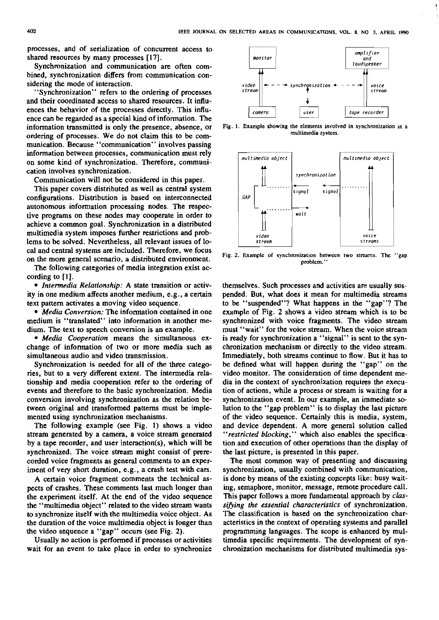processes, and of serialization of concurrent access to shared resources by many pmcesses [17].

Synchronization and communication are often combined, synchronization differs from communication considering the mode of interaction.

"Synchronization" refers to the ordering of processes and their coordinated access to shared resources. It inRuences the behavior of the pmcesses directly. This inRuence can be regarded as a special kind of information. The information transmitted is only the presence, absence. or ordering of pmcesses. We do not claim this to be communication. Because "communication" involves passing information between processes, communication must rely on some kind of synchronization. Therefore, communication involves synchronization.

Communication will not be considered in this paper.

This paper covers distributed as well as central system configurations. Distribution is based on interconnected autonomous information pmcessing nodes. The respective programs on these nodes may cooperate in order to achieve a common goal. Synchronization in a distributed multimedia system imposes further restrictions and problems to be solved. Nevertheless, ail relevant issues of locai and central systems are included. Therefore, we focus on the more general Scenario, a distnbuted envimnment.

The following categories of media integration exist according to [I].

*Intennedia Relationship:* A state transition or activity in one medium affects another medium, e.g., a certain text pattern activates a moving video sequence.

*Media Conversion:* The information contained in one medium is "translated" into information in another medium. The text to speech conversion is an example.

*Media Cooperation* means the simultaneous exchange of infonnation of two or more media such as simultaneous audio and video transmission.

Synchronization is needed for all of the three categories, but to a very different extent. The intemedia relationship and media cooperation refer to the ordering of events and therefore to the basic synchronization. Media conversion involving synchronization as the relation between original and transformed patterns must be implemented using synchronization mechanisms.

The following example (see Fig. 1) shows a video stream generated by a camera, a voice stream generated by a tape recorder, and User interaction(s), which will be synchronized. The voice stream might consist of prerecorded voice fragments as general comments to an experiment of very short duration, e.g., a crash test with cars.

A certain voice fragment comments the technical aspects of crashes. These comments last much longer than the experiment itself. At the end of the video sequence the "multimedia object" related to the video stream wants to synchmnize itself with the multimedia voice object. As the duration of the voice multimedia object is longer than the video sequence a "gap" occurs (see Fig. 2).

Usually no action is performed if processes or activities wait for an event to take place in order to synchronize



**multimedia system.**  Fig. 1. Example showing the elements involved in synchronization in a



Fig. 2. Example of synchronization between two streams. The "gap problem.'

themselves. Such pmcesses and activities are usually suspended. But, what does it mean for multimedia streams to be "suspended"? What happens in the "gap"? The example of Fig. 2 shows a video stream which is to be synchronized with voice fragments. The video stream must "wait" for the voice stream. When the voice stream is ready for synchronization a "signal" is sent to the synchronization mechanism or directly to the video stream. Immediately, both streams continue to flow. But it has to be defined what will happen during the "gap" on the video monitor. The consideration of time dependent media in the context of synchronization requires the execution of actions, while a pmcess or stream is waiting for a synchronization event. In our example, an immediate solution to the "gap problem" is to display the last picture of the video sequence. Certainly this is media, system, and device dependent. A more general solution called *"restricted blocking,"* which also enables the specification and execution of other operations than the display of the last picture, is presented in this paper.

The most common way of presenting and discussing synchronization, usually combined with communication, is done by means of the existing copcepts like: busy waiting, semaphore, monitor, message, remote procedure call. This paper follows a more fundamental approach by *clas*sifying the essential characteristics of synchronization. The classification is based on the synchronization characteristics in the context of operating systems and parallel programming languages. The scope is enhanced by multimedia specific requirements. The development of synchronization mechanisms for distnbuted multimedia sys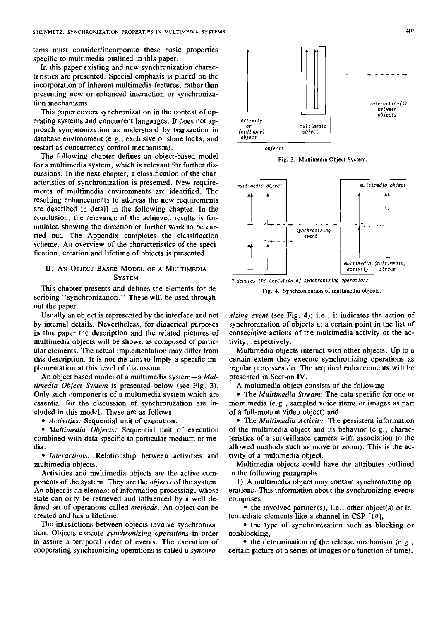tems must consider/incorporate these basic properties specific to multimedia outlined in this paper.

In this paper existing and new synchronization characteristics are presented. Special emphasis is placed on the incorporation of inherent multimedia features, rather than presenting new or enhanced interaction or synchronization mechanisms.

This paper covers synchronization in the context of operating systems and concurrent languages. It does not approach synchronization as understood by transaction in database environment (e.g., exclusive or share locks, and restart as concurrency control mechanism).

The following chapter defines an object-based model for a multimedia system, which is relevant for further discussions. In the next chapter, a classification of the characteristics of synchronization is presented. New requirements of multimedia environments are identified. The resulting enhancements to address the new requirements are described in detail in the following chapter. In the conclusion, the relevance of the achieved results is formulated showing the direction of further work to be carried out. The Appendix completes the classification scheme. An overview of the characteristics of the specification, creation and lifetime of objects is presented.

### 11. AN OBIECT-BASED MODEL OF A MULTIMEDIA **SYSTEM**

This chapter presents and defines the elements for describing "synchronization." These will be used throughout the paper.

Usually an object is represented by the interface and not by intemal details. Nevertheless, for didactical purposes in this paper the description and the related pictures of multimedia objects will be shown as composed of particular elemenits. The actual implementation may differ from this description. It is not the aim to imply a specific implementation at this level of discussion.

An object based model of a multimedia system-a *Multimedia Object System* is presented below (see Fig. 3). Only such components of a multimedia system which are essential for the discussion of synchronization are included in tbis model. These are as follows.

• *Activities:* Sequential unit of execution.

*Multimedia Objects:* Sequential unit of execution combined with data specific to particular medium or media.

*Interactions:* Relationship between activities and rnultimedia objects.

Activities and multimedia objects are the active components of the system. They are the *objects* of the system. An object is an element of information processing, whose state can orily be retrieved and influenced by a well defined set of operations called *merhods.* An object can be created and has a lifetime.

The interactions between objects involve synchronization. Objecits execute *synchronizing operations* in order to assure a temporal order of events. The execution of cooperating synchronizing operations is called a *synchro-*



**Fig. 3. Multimedia Objeel System** 





*nizing event* (see Fig. *4);* i.e., it indicates the action of synchronization of objects at a certain point in the list of consecutive actions of the multimedia activity or the activity, respectively.

Multimedia objects interact with other objects. Up to a certain extent they execute synchronizing operations as regular pmcesses do. The required enhancements will be presented in Section **1V.** 

A multimedia object consists of the following.

The *Multimedia Stream:* The data specific for one or more media (e.g., sampled voice items or images as part of a full-motion video object) and

The *Multimedia Activity:* The persistent information of the multimedia object and its behavior (e.g., characteristics of a surveillance camera with association to the allowed methods such as move or zoom). This is the activity of a muttimedia object.

Multimedia objects could have the attributes outlined in the following paragraphs.

1) A multimedia object may contain synchronizing operations. This information about the synchronizing events comprises

 $\bullet$  the involved partner(s), i.e., other object(s) or intermediate elements like a channel in **CSP** [14],

• the type of synchronization such as blocking or nonblocking,

 $\bullet$  the determination of the release mechanism (e.g., cettain picture of a series of images or a function of time).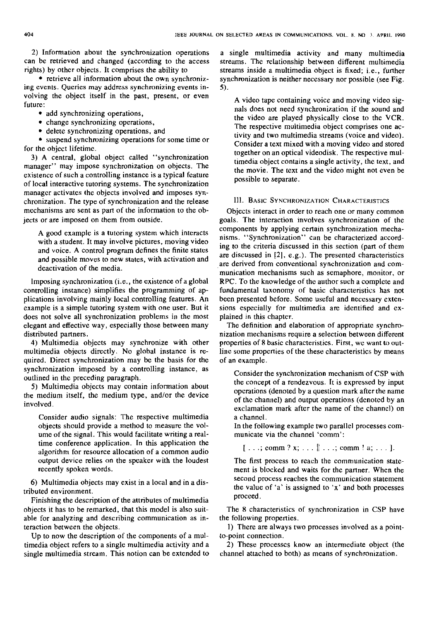2) Information about the synchronization operations can be retrieved and changed (according to the access rights) by other objects. It comprises the ability to

• retrieve all information about the own synchronizing events. Queries may address synchronizing events involving the object itself in the past, present, or even future:

• add synchronizing operations,

- change synchronizing operations.
- delete synchronizing operations, and

suspend synchronizing operations for some time or for the object lifetime.

3) A central, global object called "synchronization manager" may impose synchronization on objects. The existence of such a controlling instance is a typical feature of local interactive tutoring Systems. The synchronization manager activates the objects involved and imposes synchronization. The type of synchronization and the release mechanisms are sent as part of the information to the objects or are imposed on them from outside.

A good example is a tutoring system which interacts with a student. It may involve pictures, moving video and voice. A control program defines the finite states and possible moves to new states, with activation and deactivation of the media.

lmposing synchronization (i.e., the existence of a global controlling instance) simplifies the programming of applications involving mainly local controlling features. An example is a simple tutoring system with one user. But it does not solve all synchronization problems in the most elegant and effective way, especially those between many distributed partners.

4) Multimedia objects may synchronize with other multimedia objects directly. No global instance is required. Direct synchronization may be the basis for the synchronization imposed by a controlling instance, as outlined in the preceding paragraph.

5) Multimedia objects may contain information about the medium itself, the medium type, and/or the device involved.

Consider audio signals: The respective multimedia objects should provide a method to measure the volume of the signal. This would facilitate writing a realtime conference application. In this application the algorithm for resource allocation of a common audio output device relies on the speaker with the loudest recently spoken words.

6) Multimedia objects may exist in a local and in a distributed environment.

Finishing the description of the attributes of multimedia objects it has to be remarked, that this model is also suitable for analyzing and describing communication as interaction between the objects.

Up to now the description of the components of a multimedia object refers to a single multimedia activity and a single multimedia stream. This notion can be extended to a single multimedia activity and many multimedia streams. The relationship between different multimedia streams inside a multimedia object is fixed; i.e., further synchronization is neither necessary nor possible (see Fig. **5).** 

A video tape containing voice and moving video signals does not need synchronization if the sound and the video are played physically close to the VCR. The respective multimedia object comprises one activity and two multimedia streams (voice and video). Consider a text mixed with a moving video and stored together on an optical videodisk. The respective multimedia object contains a single activity, the text, and the movie. The text and the video might not even be possible to separate.

### 111. BASIC SYNCHRONIZATION CHARACTERISTICS

Objects interact in order to reach one or many common goals. The interaction involves synchronization of the components by applying cenain synchronization mechanisms. "Synchronization" can be characterized according to the criteria discussed in this section (part of them are discussed in [2]. e.g.). The presented characteristics are derived from conventional synchronization and communication mechanisms such as semaphore, monitor, or RPC. To the knowledge of the author such a complete and fundamental taxonomy of basic characteristics has not been presented before. Some useful and necessary extensions especially for multimedia are identified and explained in this chapter.

The definition and elaboration of appropriate synchronization mechanisms require a selection between different propenies of 8 basic characteristics. First, we Want to outline some propenies of the these characteristics by means of an example.

Consider the synchronization mechanism of CSP with the concept of a rendezvous. It is expressed by input operations (denoted by a question mark after the name of the channel) and output operations (denoted by an exclamation mark after the name of the channel) on a channel.

In the following example two parallel processes communicate via the channel 'comm':

 $[ \dots; \text{comm} ? x; \dots] \dots; \text{comm} ! a; \dots].$ 

The first process to reach the communication statement is blocked and waits for the panner. When the second process reaches the communication statement the value of 'a' is assigned to ' $x$ ' and both processes proceed.

The 8 characteristics of synchronization in CSP have the following propenies.

1) There are always two processes involved as a pointto-point connection.

2) These processcs know an intermediate object (the channel attached to both) as means of synchronization.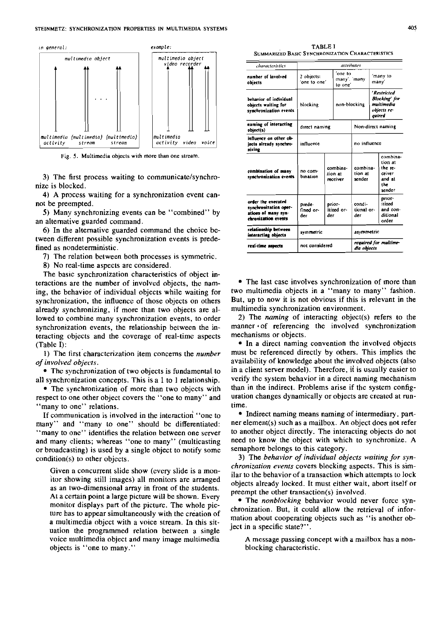

Fig. 5. Multimedia objects with more than one stream.

3) The first process waiting to communicate/synchronize is blocked.

4) A pnocess waiiing for a synchronization event cannot be preempted.

5) Many synchronizing events can be "combined" by an alternative guarded command.

 $6)$  In the alternative guarded command the choice between different possible synchronization events is predefined as nondeterministic.

7) The relation between both processes is symmetric.

8) No real-time aspecis are considered.

The basic synchronization characteristics of object interactions are the number of involved objects, the naming, the behavior of individual objects while waiting for synchronization, the influence of those objects on others already synchronizing, if more than two objects are allowed to combine many synchronization events, to order synchronization events, the relationship between the interacting cibjects and the coverage of real-time aspects (Table I):

1) The first characterization item concerns the number of involved objects.

• The synchronization of two objects is fundamental to all synchronization concepts. This is a 1 to 1 relationship.

• The synchronization of more than two objects with respect to one other object covers the "one to many" and "many to one" relations.

If communication is involved in the interaction "one to many" and "many to one" should be differentiated: "many to one" identifies the relation between one server and many clients; whereas "one to many" (multicasting or broadcasting) is used by a single object to notify some  $condition(s)$  to other objects.

Given a concurrent slide show (every slide is a monitor showing still images) all monitors are arranged as an iwo-dimensional array in front of the students. At a certain point a large picture will be shown. Every monitor displays pari of the picture. The whole picture has to appear simultaneously with the creation of a multimedia object with a voice stream. In this situation the programmed relation between a single voice multimedia object and many image multimedia objects is "one to many."

TABLE **l**  SUMMARIZED BASIC SYNCHRONIZATION CHARACTERISTICS

| characterístics                                                                           |                            |                             | attributes                           |                                                                     |                   |                                                                     |
|-------------------------------------------------------------------------------------------|----------------------------|-----------------------------|--------------------------------------|---------------------------------------------------------------------|-------------------|---------------------------------------------------------------------|
| number of involved<br>objects                                                             | 2 objects:<br>one to one'  |                             | 'one to<br>many'. 'many<br>to one'   |                                                                     | 'many to<br>many' |                                                                     |
| behavior of individual<br>objects waiting for<br>synchronization events                   | blocking                   | non-blocking                |                                      | 'Restricted<br>Blocking' for<br>multimedia<br>objects re-<br>auirea |                   |                                                                     |
| naming of interacting<br>object(s)                                                        | direct naming              |                             | Non-direct naming                    |                                                                     |                   |                                                                     |
| influence on other ob-<br>iects already synchro-<br>nízing                                | influence                  |                             | no influence                         |                                                                     |                   |                                                                     |
| combination of many<br>synchronization events                                             | no com-<br>bination        |                             | combina-<br>Jion at<br>receiver      | combina-<br>tion at<br>sender                                       |                   | combina-<br>tion at<br>the re-<br>ceiver<br>and at<br>the<br>sender |
| order the executed<br>synchronization oper-<br>ations of many syn-<br>chronization events | prede-<br>fined or-<br>der | prior-<br>itized or-<br>der |                                      | condi-<br>tional or-<br>der                                         |                   | prior-<br>itized<br>and con-<br>ditional<br>arder                   |
| relationship between<br>interacting objects                                               | symmetric                  |                             | asymmetric                           |                                                                     |                   |                                                                     |
| real-time aspects                                                                         | not considered             |                             | required for multime-<br>dia objects |                                                                     |                   |                                                                     |

The last case involves synchronization of more than two multimedia objects in a "many to many" fashion. But, up to now it is not obvious if this is relevant in the multimedia synchronization environment.

2) The naming of interacting object(s) refers to the manner of referencing the involved synchronization mechanisms or objects.

• In a direct naming convention the involved objects must be referenced directly by others. This implies the availability of knowledge about the involved objects (also in a client server model). Therefore, ii is usually easier to venfy the system behavior in a direct naming mechanism than in the indireci. Problems arise if the system configuration changes dynamically or objects are created at runtime.

• Indirect naming means naming of intermediary, partner element(s) such as a mailbox. An object does not refer to another object directly. The interacting objects do not need to know the object with which to synchronize. A semaphore belongs to this category.

3) The behavior of individual objects waiting for synchronization events covers blocking aspects. This is similar to the behavior of a transaction which attempts to lock objects already locked. It must either wait, abori itself or preempt the other transaction(s) involved.

**•** The nonblocking behavior would never force synchronization. But, it could allow the retrieval of information about cooperating objects such as "is another object in a specific state?".

A message passing concept with a mailbox has a nonblocking characteristic.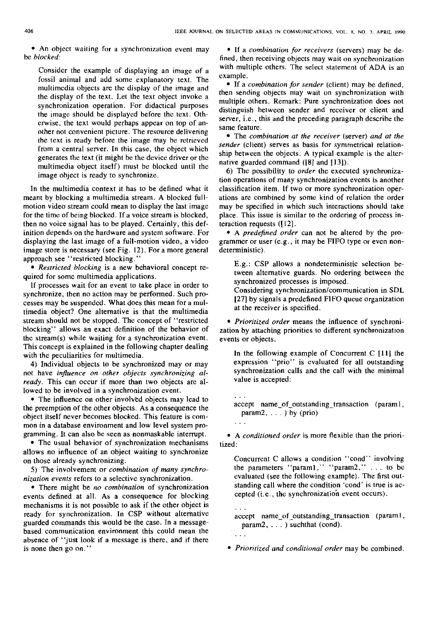An object waiting for a synchronization event may be **blocked:** 

Consider the example of displaying an image of a fossil animal and add some explanatory text. The multimedia objects are the display of the image and the display of ihe text. Let the iext object invoke a synchronization operation. For didactical purposes the image should he displayed before the text. Otherwise, the text would perhaps appear on top of another not convenient piciure. The resource delivering the text is ready before the image may be reirieved from a central server. In this case, the object which generates the text (it might be the device driver or the multimedia object itself) must be blocked until the image object is ready to synchronize.

In ihe multimedia context it has to be defined what it meant by blocking a muliimedia stream. A blocked fullmotion video stream couId mean to display the last image for the time of being blocked. If a voice stream is blocked, then no voice signal has to be played. Certainly, this definition depends on the hardware and system software. For displaying the last image of a full-motion video, a video image store is necessary (see Fig. 12). For a more general approach see "restricted blocking."

**Resrricred blocking** is a new behavioral concept required for some multimedia applications.

If processes wait for an event to take place in order to synchronize, then no action may be performed. Such processes may be suspended. What does this mean for a multimedia object? One alternative is that the multimedia stream should not be stopped. The concept of "restricted blocking" allows an exact definition of the behavior of the stream(s) while waiting for a synchronization event. This concept is explained in the following chapter dealing with the peculiarities for multimedia.

4) Individual objects to be synchronized may or may not have **inpuence on orher objects synchronizing a1 ready.** This can occur if more than two objects are allowed to be involved in a synchronization event.

• The influence on other involved objects may lead to the preemption of the other objects. As a consequence the object itself never becomes blocked. This feature is common in a database environment and low level system programming. It can also be Seen as nonmaskable intempt.

• The usual behavior of synchronization mechanisms allows no influence of an object waiting to synchronize on those already synchronizing.

5) The involvement or **cornbination of many synchronizarion events** refers to a selective synchronization.

There might be **no cornbination** of synchronization events defined at all. As a consequence for blocking mechanisms it is not possible to ask if the other object is ready for synchronization. In CSP without alternative guarded commands this would be the case. In a messagebased communication environment this could mean the absence of "just look if a message is there, and if there is none then go on."

• If a *combination for receivers* (servers) may be defined, then receiving objects may wait on synchronization with multiple others. The select statement of ADA is an example.

If a **cornbinarion for sender** (client) may be defined, then sending objects may waii on synchronization with multiple others. Remark: Pure synchronization does not distinguish between sender and receiver or client and server, i.e., this and the preceding paragraph describe the Same feature.

• The *combination at the receiver* (server) and at the **sender** (client) serves as basis for symmetrical relationship between the objects. **A** typical example is the alternative guarded command **([8]** and [I3]).

6) The possibility to **order** the executed synchronization operations of many synchronization events is another classification item. If two or more synchronization operations are combined by some kind of relation the order may be specified in which such interactions should take place. This issue is similar to the ordering of process interaction requests  $(12)$ .

A **predefined order** can not be altered by the programmer or user  $(e.g., it may be FIFO type or even non$ deterministic).

E.g.: CSP dlows a nondeterministic selection between alternative guards. No ordering between the synchronized processes is imposed.

Considering synchronization/communication in SDL [27] by signals a predefined FIFO queue organization at the receiver is specified.

**Prioritized order** means the influence of synchronization by attaching priorities io different synchronization events or objects.

In the following example of Concurrent C [ll] the expression "prio" is evaluated for all outstanding synchronization calIs and the call with the minimal value is accepted:

accept **name-of-outstanding-transaction** (paraml, param2,  $\ldots$ ) by (prio)

• A *conditioned order* is more flexible than the prioritized:

Concurrent C allows a condition "cond" involving the Parameters "paraml," "param2," . . . to be evaluated (see the following example). The first outstanding call where the condition 'cond' is tme is accepted (i.e.. the synchronizatioh event occurs).

accept **name-of-outstanding-transaction** (param I, param2, . . . ) suchthat (cond).

. . .

**Prioritized and conditional order** may be combined.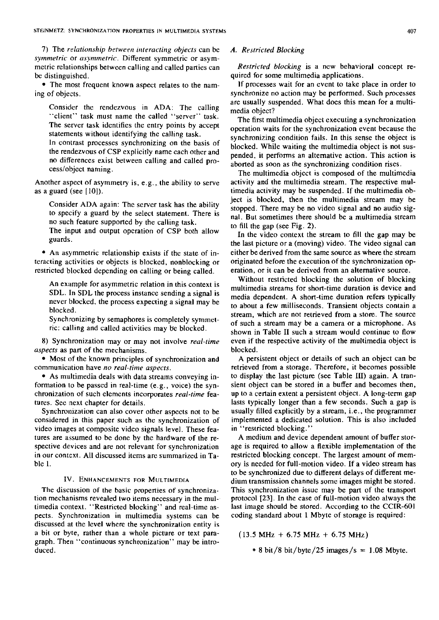7) The *relationship between interacting objects* can be *symmetric* or *usymmetric.* Different symmetric or asymmetric relationships between calling and called parties can be distinguished.

• The most frequent known aspect relates to the naming of objects.

Consider the rendezvous in ADA: The calling "client" task must name the called "server" task. The server task identifies the entry points by accept Statements without identifying the calling task.

In contrast processes synchronizing on the basis of the rendezvous of CSP explicitly name each other and no ditierences exist beiween calling and called process/object naming.

Another aspect of asymmetry is, e.g., the ability to serve as a guard (see  $[10]$ ).

Consider ADA again: The server task has the ability to specify a guard by the select Statement. There is no such feature supported by the calling task.

The input and output operation of CSP both allow guards.

• An asymmetric relationship exists if the state of interacting activities or objects is blocked, nonblocking or restricted blocked depending on calling or being called.

An example for asymmetric relation in this context is SDL. In SDL the process instance sending a signal is never blocked. the process expecting a signal may be blocked.

Synchronizing by semaphores is completely symmetric: calling and called activities may be blocked.

8) Synchronization may or may not involve *real-time aspecrs* as part of the mechanisms.

• Most of the known principles of synchronization and communication have *no real-time aspects*.

As multimedia deals wiih data streams conveying information to be passed in real-time  $(e.g., voice)$  the synchronization of such elements incorporates *real-time* features. See next chapter for details.

Synchronization can also cover other aspects not to be considered in this paper such as the synchronization of video images at composite video signals level. These features are assumed to be done by the hardware of the respective devices and are not relevant for synchronization in our context. All discussed items are summarized in Table l.

## IV. ENHANCEMENTS FOR MULTIMEDIA

The discussion of ihe basic properties of synchronization mechanisms revealed iwo items necessary in the multimedia context. "Restricted blocking" and real-time aspects. Synchronization in multimedia systems can be discussed at the level where the synchronization entity is a bit or byte, rather than a whole picture or text paragraph. Then "continuous synchronization" may be introduced.

### *A. Restricted Blocking*

*Restricted blocking* is a new behavioral concept required for some multimedia applications.

If pmcesses wait for an event to take place in order to synchronize no action may be performed. Such processes are usually suspended. What does this mean for a multimedia object?

The first multimedia object executing a synchronization operation waits for the synchronization event because the synchronizing condition fails. In this sense the object is blocked. While waiting ihe multimedia object is not suspended, it performs an alternative action. This action is aborted as soon as the synchronizing condition rises.

The multimedia object is composed of the multimedia activity and the multimedia stream. The respective multimedia activity may be suspended. If the multimedia object is blocked, then the muliimedia stream may be stopped. There may be no video signal and no audio signal. But sometimes there should be a muliimedia stream to fill the gap (see Fig. 2).

In the video context the stream to fill the gap may be the last picture or a (moving) video. The video signal can either be derived from the same source as where the stream originated before the execution of the synchronization operation, or ii can be derived from an alternative source.

Without restricted blocking the solution of blocking multimedia streams for short-time duration is device and media dependent. A short-time duration refers typically to about a few milliseconds. Transient objects coniain a stream, which are not retrieved from a store. The source of such a stream may be a camera or a micmphone. As shown in Table II such a stream would continue to flow even if the respective activiiy of the multimedia object is blocked.

A persistent object or details of such an object can be retrieved from a storage. Therefore, it becomes possible to display the last piciure (see Table 111) again. A transient object can be stored in a buffer and becomes then, up io a certain extent a persistent object. A long-term gap lasts typically longer than a few seconds. Such a gap is usually filled explicitly by a stream, i.e., ihe programmer implemented a dedicated solution. This is also included in "restricted blocking."

A medium and device dependent amount of buffer storage is required to allow a flexible implementation of the restricted blocking concept. The largest amount of memory is needed for full-moiion video. If a video stream has to be synchronized due to different delays of different medium transmission channels some images might be stored. This synchronization issue may be part of the transport protocol [23]. In the case of full-motion video always the last image should be stored. According to the CCIR-601 coding standard about 1 Mbyte of storage is required:

 $(13.5 \text{ MHz} + 6.75 \text{ MHz} + 6.75 \text{ MHz})$ 

 $* 8 \text{ bit}/8 \text{ bit}/\text{byte}/25 \text{ images/s} = 1.08 \text{ Mbyte}.$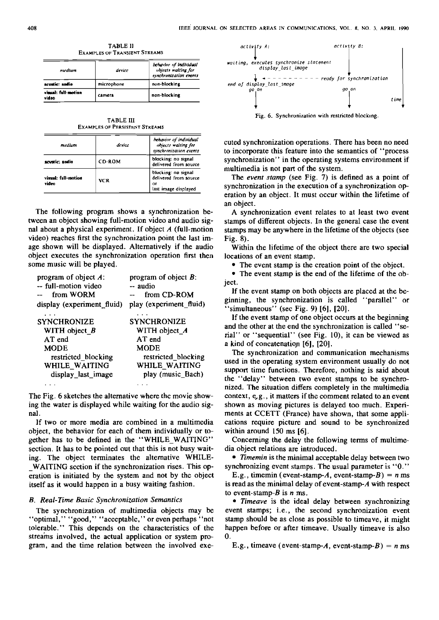**TABLE II EXAMPLES OF TRANSIENT STREAMS** 

| medium                      | device     | behavior of individual<br>unjects waiting for<br>synchronization events |  |
|-----------------------------|------------|-------------------------------------------------------------------------|--|
| acustic: andio              | microphone | non-blocking                                                            |  |
| vimal: full-motion<br>video | camera     | non-blocking                                                            |  |

**TABLE III EXAMPLES OF PERSISTENT STREAMS** 

| medium                       | device        | behavior of individual<br>objects waiting for<br>synchronization events    |  |  |
|------------------------------|---------------|----------------------------------------------------------------------------|--|--|
| acustic: sodio               | <b>CD ROM</b> | blocking: no signal<br>delivered from source                               |  |  |
| visual: full-motion<br>video | <b>VCR</b>    | blocking: no signal<br>delivered from source<br>or<br>last image displayed |  |  |

The following program shows a synchronization between an object showing full-motion video and audio signal about a physical experiment. If object  $A$  (full-motion video) reaches first the synchronization point the last image shown will be displayed. Alternatively if the audio object executes the synchronization operation first then some music will be played.

| program of object $A$ :    | program of object $B$ : |
|----------------------------|-------------------------|
| -- full-motion video       | -- audio                |
| from WORM                  | from CD-ROM             |
| display (experiment_fluid) | play (experiment_fluid) |
|                            |                         |
| <b>SYNCHRONIZE</b>         | <b>SYNCHRONIZE</b>      |
| WITH object $B$            | WITH object_A           |
| AT end                     | AT end                  |
| <b>MODE</b>                | <b>MODE</b>             |
| restricted_blocking        | restricted_blocking     |
| WHILE WAITING              | WHILE_WAITING           |
| display_last_image         | play (music Bach)       |
|                            |                         |

The Fig. 6 sketches the alternative where the movie showing the water is displayed while waiting for the audio signal.

If two or more media are combined in a multimedia object, the behavior for each of them individually or together has to be defined in the "WHILE\_WAITING" section. It has to be pointed out that this is not busy waiting. The object terminates the alternative WHILE-WAITING section if the synchronization rises. This operation is initiated by the system and not by the object itself as it would happen in a busy waiting fashion.

#### **B.** Real-Time Basic Synchronization Semantics

The synchronization of multimedia objects may be "optimal," "good," "acceptable," or even perhaps "not tolerable." This depends on the characteristics of the streams involved, the actual application or system program, and the time relation between the involved exe-



cuted synchronization operations. There has been no need to incorporate this feature into the semantics of "process" synchronization" in the operating systems environment if multimedia is not part of the system.

The event stamp (see Fig. 7) is defined as a point of synchronization in the execution of a synchronization operation by an object. It must occur within the lifetime of an object.

A synchronization event relates to at least two event stamps of different objects. In the general case the event stamps may be anywhere in the lifetime of the objects (see Fig. 8).

Within the lifetime of the object there are two special locations of an event stamp.

• The event stamp is the creation point of the object.

• The event stamp is the end of the lifetime of the object.

If the event stamp on both objects are placed at the beginning, the synchronization is called "parallel" or 'simultaneous'' (sec Fig. 9)  $[6]$ ,  $[20]$ .

If the event stamp of one object occurs at the beginning and the other at the end the synchronization is called "serial" or "sequential" (see Fig. 10), it can be viewed as a kind of concatenation [6], [20].

The synchronization and communication mechanisms used in the operating system environment usually do not support time functions. Therefore, nothing is said about the "delay" between two event stamps to be synchronized. The situation differs completely in the multimedia context,  $e, g, \ldots$ , it matters if the comment related to an event shown as moving pictures is delayed too much. Experiments at CCETT (France) have shown, that some applications require picture and sound to be synchronized within around  $150$  ms  $[6]$ .

Concerning the delay the following terms of multimedia object relations are introduced.

• Timemin is the minimal acceptable delay between two synchronizing event stamps. The usual parameter is "0."

E.g., timemin (event-stamp-A, event-stamp-B) =  $n$  ms is read as the minimal delay of event-stamp-A with respect to event-stamp- $B$  is  $n$  ms.

• Timeave is the ideal delay between synchronizing event stamps; i.e., the second synchronization event stamp should be as close as possible to timeave, it might happen before or after timeave. Usually timeave is also  $\mathbf{0}$ .

E.g., timeave (event-stamp-A, event-stamp-B) =  $n$  ms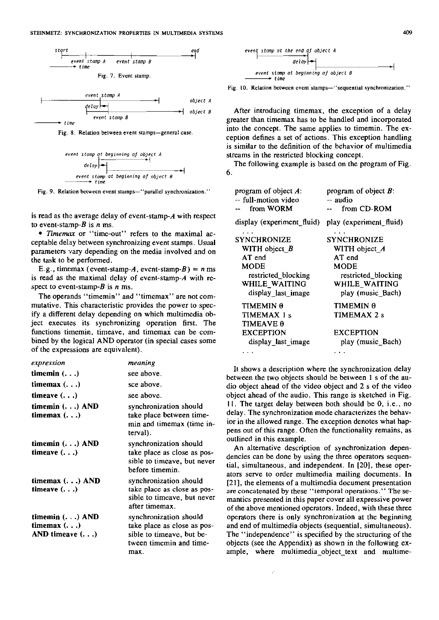



Fig. 8. Relation between event stamps-general case.

| event   | stop  | theginning | of        | object | A      |     |     |     |     |     |     |     |     |     |     |     |     |     |     |     |     |     |     |     |     |     |     |     |     |     |     |     |     |     |     |     |     |     |     |     |     |     |     |     |     |     |     |     |     |     |     |     |     |     |     |     |     |     |     |     |     |     |     |     |     |     |     |     |     |     |     |     |     |     |     |     |     |     |     |     |     |     |     |     |     |     |     |     |     |     |     |     |     |     |     |     |     |     |     |     |     |
|---------|-------|------------|-----------|--------|--------|-----|-----|-----|-----|-----|-----|-----|-----|-----|-----|-----|-----|-----|-----|-----|-----|-----|-----|-----|-----|-----|-----|-----|-----|-----|-----|-----|-----|-----|-----|-----|-----|-----|-----|-----|-----|-----|-----|-----|-----|-----|-----|-----|-----|-----|-----|-----|-----|-----|-----|-----|-----|-----|-----|-----|-----|-----|-----|-----|-----|-----|-----|-----|-----|-----|-----|-----|-----|-----|-----|-----|-----|-----|-----|-----|-----|-----|-----|-----|-----|-----|-----|-----|-----|-----|-----|-----|-----|-----|-----|-----|-----|-----|-----|-----|-----|
| $delay$ | +     | +          |           |        |        |     |     |     |     |     |     |     |     |     |     |     |     |     |     |     |     |     |     |     |     |     |     |     |     |     |     |     |     |     |     |     |     |     |     |     |     |     |     |     |     |     |     |     |     |     |     |     |     |     |     |     |     |     |     |     |     |     |     |     |     |     |     |     |     |     |     |     |     |     |     |     |     |     |     |     |     |     |     |     |     |     |     |     |     |     |     |     |     |     |     |     |     |     |     |     |     |
| event   | stomp | at         | beginning | of     | object | B   |     |     |     |     |     |     |     |     |     |     |     |     |     |     |     |     |     |     |     |     |     |     |     |     |     |     |     |     |     |     |     |     |     |     |     |     |     |     |     |     |     |     |     |     |     |     |     |     |     |     |     |     |     |     |     |     |     |     |     |     |     |     |     |     |     |     |     |     |     |     |     |     |     |     |     |     |     |     |     |     |     |     |     |     |     |     |     |     |     |     |     |     |     |     |     |
| __      | __    | time       | ...       | ...    | ...    | ... | ... | ... | ... | ... | ... | ... | ... | ... | ... | ... | ... | ... | ... | ... | ... | ... | ... | ... | ... | ... | ... | ... | ... | ... | ... | ... | ... | ... | ... | ... | ... | ... | ... | ... | ... | ... | ... | ... | ... | ... | ... | ... | ... | ... | ... | ... | ... | ... | ... | ... | ... | ... | ... | ... | ... | ... | ... | ... | ... | ... | ... | ... | ... | ... | ... | ... | ... | ... | ... | ... | ... | ... | ... | ... | ... | ... | ... | ... | ... | ... | ... | ... | ... | ... | ... | ... | ... | ... | ... | ... | ... | ... | ... | ... | ... |



is read as the average delay of event-stamp-A with respect to event-stamp- $B$  is  $n$  ms.

*Timemux* or "time-out" refers to the maximal acceptable dehy between synchronizing event stamps. Usual parameters vary depending on the media involved and on the task to be performed.

E.g., timemax (event-stamp-A, event-stamp-B) =  $n$  ms is read as the maximal delay of event-stamp-A with respect to event-stamp-B is *n* ms.

The operands "timemin" and "timemax" are not commutative. This characteristic provides the power to specify a different delay depending on which multimedia object executes its synchronizing operation first. The functions timemin, timeave, and timemax can be combined by the logical AND operator (in special cases some of the expressions are equivaleni).

#### *expression meaning*

| <i><u>CAPI COOLVIL</u></i> | ,,,,,,,,,,,,                                                                  |
|----------------------------|-------------------------------------------------------------------------------|
| timemin $( \ldots )$       | see above.                                                                    |
| timemax $( \ldots )$       | sce above.                                                                    |
| timeave $(\ldots)$         | see above.                                                                    |
| timemin () AND             | synchronization should                                                        |
| timemax $(\ldots)$         | take place between time-<br>min and timemax (time in-<br>terval).             |
| timemin $($ ) AND          | synchronization should                                                        |
| timeave $(\ldots)$         | take place as close as pos-<br>sible to timeave, but never<br>before timemin. |
| timemax () AND             | synchronization should                                                        |
| timeave $(\ldots)$         | take place as close as pos-<br>sible to timeave, but never<br>after timemax.  |
| timemin $(., .)$ AND       | synchronization should                                                        |
| timemax $( \ldots )$       | take place as close as pos-                                                   |
| AND timeave $(\ldots)$     | sible to timeave, but be-<br>tween timemin and time-                          |
|                            |                                                                               |

max.



Fig. 10. Relation between event stamps-"sequential synchronization."

After introducing timemax, the exception of a delay greater than timemax has to be handled and incorporated into the concept. The same applies to timemin. The excepiion defines a set of actions. This exception handling is similar to the definition of the behavior of multimedia streams in the restricted blocking concept.

The following example is based on the program of Fig. 6.

| program of object $A$ :<br>-- full-motion video<br>-- from WORM | program of object $B$ :<br>-- audio<br>from CD-ROM |
|-----------------------------------------------------------------|----------------------------------------------------|
| display (experiment fluid)                                      | play (experiment_fluid)                            |
| <b>SYNCHRONIZE</b>                                              | <b>SYNCHRONIZE</b>                                 |
| WITH object $B$                                                 | WITH object A                                      |
| AT end                                                          | AT end                                             |
| MODE                                                            | MODE                                               |
| restricted_blocking<br>WHILE WAITING                            | restricted blocking<br>WHILE WAITING               |
| display last image                                              | play (music Bach)                                  |
| <b>TIMEMIN 0</b>                                                | TIMEMIN 0                                          |
| TIMEMAX 1 s                                                     | TIMEMAX 2 s                                        |
| <b>TIMEAVE 0</b>                                                |                                                    |
| <b>EXCEPTION</b>                                                | <b>EXCEPTION</b>                                   |
| display last image                                              | play (music Bach)                                  |
|                                                                 |                                                    |

It shows a description where the synchronization delay between the two objects should be between 1 s of the audio object ahead of the video object and 2 s of the video object ahead of the audio. This range is sketched in Fig.  $11.$  The target delay between both should be 0, i.e., no delay. The synchronization mode characierizes the behavior in ihe allowed range. The exception denotes what happens out of this range. Often the functionality remains, as outlined in this example.

An alternative description of synchronization dependencies can be done by using the three operators sequential, simultaneous, and independent. In [20], these operators serve to order multimedia mailing documents. In [Zl], the elements of a multimedia document presentation are concatenated by these "temporal operations." The semantics presented in this paper Cover all expressive power of the above mentioned operators. Indeed, with ihese three operators there is only synchronization at the beginning and end of multimedia objects (sequential, simulianeous). The "independence" is specified by the stmcturing of the objects (see the Appendix) as shown in the following example, where multimedia\_object\_text and multime-

 $\mathcal{L}$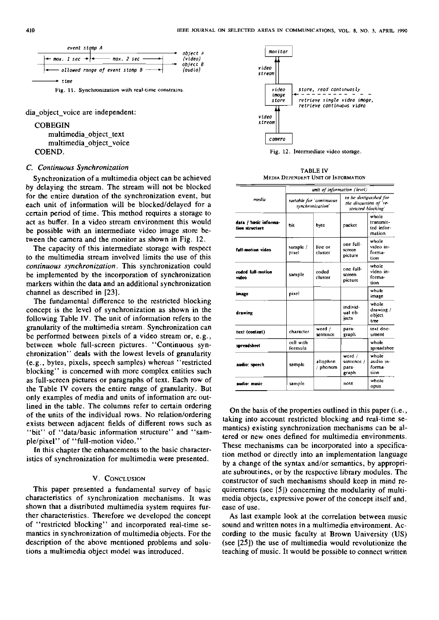

dia object voice are independent:

**COBEGIN** 

multimedia-object-text multimedia-object-voice COEND.

#### C. Continuous Synchronization

Synchronization of a multimedia object can be achieved by delaying the stream. The stream will not be blocked for the entire duration of the synchronization event, but each unit of information will be blocked/delayed for a certain period of time. This method requires a storage to act as buffer. In a video stream environment this would be possible with an intermediate video image store between the camera and the monitor as shown in Fig. 12.

The capacity of this intermediate storage with respect to the multimedia stream involved limits the use of this continuous synchronization. This synchronization could be implemented by the incorporation of synchronization markers within the data and an additional synchronization channel as descnbed in [23].

The fundamental difference to the restricted blocking concept is the level of synchronization as shown in the following Table IV. The unit of information refers to the granulanty of the multimedia stream. Synchronization can be performed between pixels of a video stream or, e.g., between whole full-screen pictures. "Continuous synchronization" deals with the lowest levels of granulanty (e.g., bytes, pixels, speech samples) whereas "restncted blocking" is concerned with more complex entities such as full-screen pictures or paragraphs of text. Each row of the Table IV Covers the entire range of granulanty. But only examples of media and units of information are outlined in the table. The columns refer to certain ordering of the units of the individual rows. No relation/ordering exists between adjacent fields of different rows such as "bit" of "data/basic information structure" and "sample/pixel" of "full-motion video."

In this chapter the enhancements to the basic characteristics of synchronization for multimedia were presented.

### V. CONCLUSION

This paper presented a fundamental survey of basic characteristics of synchronization mechanisms. It was shown that a distributed multimedia system requires further characterisiics. Therefore we developed the concept of "restncted blocking'' and incorporated real-time semantics in synchronization of multimedia objects. For the description of the above mentioned problems and solutions a multimedia object model was introduced.



Pig. **12.** Intermediate video storage.

TABLE 1V **MEDIA** DEPENDENT UNIT OF INFORMATION

|                                         | unit of information (level) |                                              |                                        |                                                                        |  |  |
|-----------------------------------------|-----------------------------|----------------------------------------------|----------------------------------------|------------------------------------------------------------------------|--|--|
| media                                   |                             | suitable for 'continuous<br>synchronization' |                                        | to be distiguished for<br>the discussion of 're-<br>stricted blocking' |  |  |
| data / basic informa-<br>tion structure | bit                         | byte                                         | packet                                 | whole<br>transmit-<br>ted infor-<br>mation                             |  |  |
| full-motion video                       | sample /<br>pixel           | line or<br>cluster                           | one full-<br>screen<br>picture         | whole<br>video in-<br>forma-<br>tion                                   |  |  |
| coded full-motion<br>video              | sample                      | coded<br>cluster                             | one full-<br>screen<br>picture         | whole<br>video in-<br>forma-<br>tion                                   |  |  |
| image                                   | pixel                       |                                              |                                        | whole<br>image                                                         |  |  |
| drawing                                 |                             |                                              | individ-<br>ual ob-<br>iccts           | whole<br>drawing /<br>object<br>tree                                   |  |  |
| text (content)                          | character                   | word $/$<br>sentence                         | рата-<br>graph                         | text doc-<br>ument                                                     |  |  |
| spreadsheet                             | cell with<br>formula        |                                              |                                        | whole<br>spreadshee                                                    |  |  |
| audio: speech                           | sample                      | ailophon<br>/ phonem                         | word /<br>sentence /<br>para-<br>graph | whole<br>audio in-<br>forma-<br>tion                                   |  |  |
| audio: music                            | sample                      |                                              | note                                   | whole<br>opus                                                          |  |  |

On the basis of the properties outlined in this paper (i.e., taking into account restricted blocking and real-time semantics) existing synchronization mechanisms can be altered or new ones defined for multimedia environments. These mechanisms can be incorporated into a specification method or directly into an implementation language by a change of the syntax and/or semantics, by appropriate subroutines, or by the respective library modules. The constructor of such mechanisms should keep in mind requirements (see [5J) concerning the modulanty of multimedia objects, expressive power of the concept itself and, ease of use.

As last example look at the correlaiion between music sound and written notes in a multimedia environment. According to the music faculiy at Brown University (US) (see [25]) the use of multimedia would revolutionize the teaching of music. It would be possible to connect written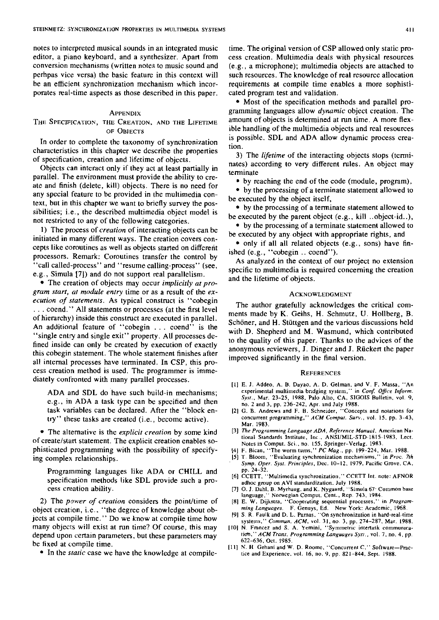notes to interpreted musical sounds in an integrated music editor, a piano keyboard, and a synthesizer. Apart from conversion mechanisms (written notes to music sound and perhpas vice versa) the basic feature in this context will be an efficient synchronization mechanism which incorporates real-time aspects as those described in this paper.

#### **APPENDIX**

THE SPECIFICATION, THE CREATION, AND THE LIFETIME OF OBJECTS

In order to complete the taxonomy of synchronization characteristics in this chapter we describe the properties of specification, creation and lifetime of objecis.

Objects can interact only if ihey act at least partially in parallel. The environment must provide the ability to create and finish (delete, kill) objects. There is no need for any special feature to be provided in the multimedia context, but in this chapier we Want to briefly survey the possibilities; i.e., the described multimedia object model is not restricted to any of the following categories.

**1)** The process of *creation* of interacting objects can be initiated in many different ways. The creation covers concepts like coroutines as well as objects started on different processors. Remark: Coroutines transfer the control by 'call called-process'' and "resume calling-process" (see, e.g., Simula **[7])** and do not Support real parallelism.

The creation of objects may occur *implicitly at program start, at module entry time or as a result of the <i>ex*-<br>*ecution of statements*. As typical construct is "cobegin *ecution of statements.* As typical construct is "coocgin" The author gratefully acknowledges the critical com-<br>... coend." All statements or processes (at the first level and the mode by K. Coibe, H. Sebmuta, H. Hellbegg, of hierarchy) inside this construct are executed in parallel. Schöner, and H. Stüttgen and the various discussions held An additional feature of "cobegin . . . coend" is the<br>
"single entry and single exit" property. All processes de-<br>
fined inside can only be created by execution of exactly<br>
this cobegin statement. The whole statement finis cess creation method is used. The programmer is imme-<br>diately confronted with many parallel processes.

e.g., in ADA a task type can be specified and then task variables can be declared. After the "block entry" these tasks are created (i.e., become active).

tional Siandards Institute, Inc., ANSI/MIL-STD-1815-1983, Lect.<br>of create/start statement. The explicit creation enables so-<br>Notes in Comput. Sci., no. 155, Springer-Verlag. 1983. phisticated programming with the possibility of specify- [4] F. Bican, "The worm turns," *PC Mag.*, pp. 199-224, Mar. 1988. ing complex relationships. (5) T. Bloom, "Evaluating synchronization mechanisms." in Proc. 7th

**Programming languages like ADA or CHILL and** pp. 24-32.<br>
specification methods like SDL provide such a pro-<br>
cess creation ability. [7] O. J. Dahl, B. Mychaug, and K. Nygaard, "Simula 67 Common base

2) The *power of creation* considers the point/time of [8] E. W. Dijkstra, "Cooperating sequential processes." in *Program-*<br>
niect creation, i.e., "the degree of knowledge about ob-<br>
ming Languages. F. Genuys, Ed. New Yor object creation, i.e., "the degree of knowledge about ob-<br>jects at compile time." Do we know at compile time how [9] S. R. Faulk and D. L. Pamas, "On synchronization in hard-real-time<br>systems "Commun. 4CM vol. 31, no. 3, n jects at compile time." Do we know at compile time how [9] S. R. Faulk and D. L. Parnas. "On synchronization in hard-real-time<br>many objects will exist at run time? Of course, this may [10] N. Francez and S. A. Yemini, "Sym depend upon certain parameters, but these parameters may tim." ACM Trans. Programming Languages Syst., vol. 7, no. 4, pp.<br>  $622-636$ , Oct. 1985. be fixed at compile time.

• In the *static* case we have the knowledge at compile-

time. The original version of CSP allowed only static process creation. Multimedia deals with physical resources (e.g.. a microphone); multimedia objects are aitached to such resources. The knowledge of real resource allocation requirements at cornpile time enables a more sophisticated program test and validation.

• Most of the specification methods and parallel programming languages allow *dynamic* objeci creation. The amount of objects is detemined at run time. A more flexible handling of the multimedia objects and real resources is possible. SDL and ADA allow dynamic process creation.

3) The *lifetime* of the interacting objects stops (terminates) according to very different rules. An object may terminate

• by reaching the end of the code (module, program),

• by the processing of a terminate statement allowed to be executed by the object itself,

by the proccssing of a terminate statement allowed to be executed by the parent object (e.g., kill ..object-id..),

• by the processing of a terminate statement allowed to be cxecuted by any objeci with appropriate rights, and

• only if all all related objects (e.g., sons) have finished (e.g., "cobegin .. coend").

As analyzed in the context of our pmject no extension specific to multimedia is required concerning the creation and the lifetime of objects.

- diately conironted with many parallel processes. [I] E. J. Addeo, A. B. Dayaa. A. D. Gelman. and **V.** F. Massa, "An ADA and SDL do have such build-in mechanisms; experimental multimedia bridging system," in Conf. Office Inform. Syst., Mar. 23-25, 1988, Palo Alto, CA. SIGOIS Bulletin. vol. 9, no. 2 and 3, pp. 236-242, Apr. and July 1988.
	- 121 G. B. Andrews and F. B. Schneider, "Concepts and notations for concurrent programming," ACM Comput. Surv., vol. 15, pp. 3-43, Mar 1983
- The alternative is the *explicit creation* by some kind [3] *The Programming Language ADA, Reference Manual*. American Na-<br>of create/start statement. The explicit creation enables so-<br>Notes in Comput Sci. no. 155. Spring
	-
	-
	- **Symp. Oper. Sysl. Prinriples.** Dec. 10-12. 1979. Pacific Gmve. CA.
	-
	- cess creation ability.<br>171 0. J. Dahl, B. Myrhaug, and K. Nygaard, "Simula 67- Common base<br>21 language," Norwegian Comput. Cent., Rep. 743, 1984.
		-
		-
		-
		- [11] N. H Gehani and W. D. Roome, "Concurrent C," Software-Practice and Experience, vol. 16, no. 9, pp. 821-844, Sept. 1988.